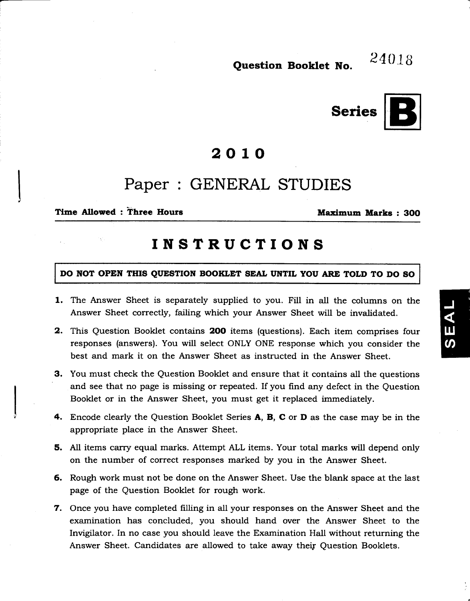# Series

# 2o 10

# Paper : GENERAL STUDIES

### Tlme Allowed : Three Hours

Maxlmun Marks : 3OO

## INSTRUCTIONS

#### DO NOT OPEN THIS QUESTION BOOKLET SEAL UNTIL YOU ARE TOLD TO DO SO

- 1. The Answer Sheet is separately supplied to you. Fill in all the columns on the Answer Sheet correctly, failing which your Answer Sheet will be invalidated.
- 2. This Question Booklet contains 2OO items (questions). Each item comprises four responses (answers). You will select ONLY ONE response which you consider the best and mark it on the Answer Sheet as instructed in the Answer Sheet.
- 3. You must check the Question Booklet and ensure that it contains all the questions and see that no page is missing or repeated. If you find any defect in the Question Booklet or in the Answer Sheet, you must get it replaced immediately.
- 4. Encode clearly the Question Booklet Series A, B, C or D as the case may be in the appropriate place in the Answer Sheet.
- 5. All items carry equal marks. Attempt ALL items. Your total marks will depend only on the number of correct responses marked by you in the Answer Sheet.
- 6. Rough work must not be done on the Answer Sheet. Use the blank space at the last page of the Question Booklet for rough work.
- 7. Once you have completed filling in all your responses on the Answer Sheet and the examination has concluded, you should hand over the Answer Sheet to the Invigilator. In no case you should leave the Examination Hall without returning the Answer Sheet. Candidates are allowed to take away their Question Booklets.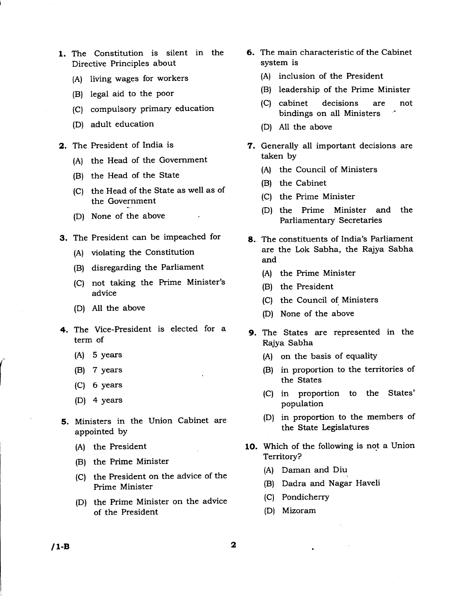- 1. The Constitution is silent in the Directive Principles about
	- (A) living wages for workers
	- (B) legal aid to the Poor
	- (C) compulsory primary education
	- (D) adult education
- 2. The President of India is
	- (A) the Head of the Government
	- (B) the Head of the State
	- (C) the Head of the State as well as of the Government
	- (D) None of the above
- 3. The President can be impeached for
	- (A) violating the Constitution
	- (B) disregarding the Parliament
	- (C) not taking the Prime Minister's advice
	- (D) All the above
- 4. The Vice-President is elected for a term of
	- (A) 5 years
	- (B) 7 years
	- (C) 6 years
	- (D) 4 years
- 5. Ministers in the Union Cabinet are appointed by
	- (A) the President
	- (B) the Prime Minister
	- (C) the President on the advice of the Prime Minister
	- (D) the Prime Minister on the advice of the President
- 6. The main characteristic of the Cabinet system is
	- (A) inclusion of the President
	- (B) leadership of the Prime Minister
	- (C) cabinet decisions are not bindings on all Ministers
	- (D) All the above
- 7. Generally all important decisions are taken by
	- (A) the Council of Ministers
	- (B) the Cabinet
	- (C) the Prime Minister
	- (D) the Prime Minister and the Parliamentary Secretaries
- 8.. The constituents of India's Parliament are the Lok Sabha, the Rajya Sabha and
	- (A) the Prime Minister
	- (B) the President
	- (C) the Council of. Ministers
	- (D) None of the above
- 9. The States are represented in the Rajya Sabha
	- (A) on the basis of equality
	- (B) in proportion to the territories of the States
	- (C) in proportion to the States' population
	- (D) in proportion to the members of the State Legislatures
- 10. Which of the following is not a Union Territory?
	- (A) Daman and Diu,
	- (B) Dadra and Nagar Haveli
	- (C) Pondicherry
	- (D) Mizoram

 $\sqrt{1-B}$  2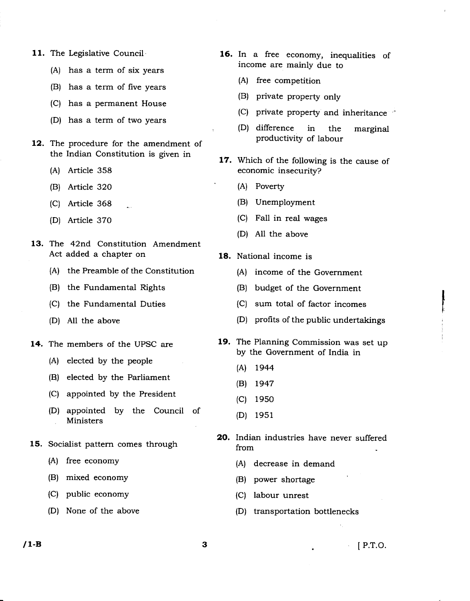- 11. The Legislative Council
	- (A) has a term of six years
	- (B) has a term of five years
	- (C) has a permanent House
	- (D) has a term of two years
- 12. The procedure for the amendment of the Indian Constitution is given in
	- (A) Article 358
	- (B) Article 320
	- (C) Article 368
	- (D) Article 370
- 13. The 42nd Constitution Amendment Act added a chapter on
	- (A) the Preamble of the Constitution
	- (B) the Fundamental Rights
	- (C) the Fundamental Duties
	- (D) All the above
- 14. The members of the UPSC are
	- (A) elected by the people
	- (B) elected by the Parliament
	- (C) appointed by the President
	- (D) appointed by the Council of Ministers
- 15. Socialist pattern comes through
	- (A) free economy
	- (B) mixed economy
	- (C) public economy
	- (D) None of the above
- 16. In a free economy, inequalities of income are mainly due to
	- (A) free competition
	- (B) private property only
	- (C) private property and inheritance
	- (D) difference in the marginal productivity of labour
- 17. Which of the following is the cause of economic insecurity?
	- (A) Poverty
	- (B) Unemployment
	- (C) Fall in real wages
	- (D) All the above
- 18. National income is
	- (A) income of the Government
	- (B) budget of the Government
	- (C) sum total of factor incomes
	- (D) profits of the public undertakings
- 19. The Planning Commission was set up by the Government of India in
	- (A) 1944
	- $(B)$  1947
	- $(C)$  1950
	- $(D)$  1951
- 2O. Indian industries have never suffered from
	- (A) decrease in demand
	- (B) power shortage
	- (C) labour unrest
	- (D) transportation bottlenecks

 $\bf{J}$  **1-B**  $\bf{B}$  **3 let us a let us of**  $\bf{B}$   $\bf{F}$ . The set of  $\bf{B}$ 

I I f:

,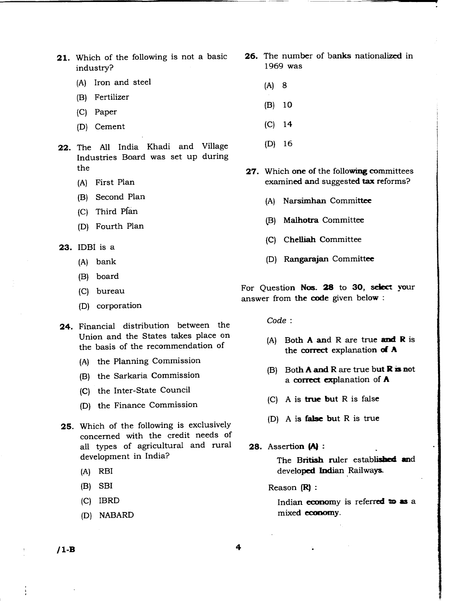industry?

- (A) Iron and steel (A) 8
- (B) Fertilizer
- (C) Paper (B)  $10$
- (D) Cement (C) 14
- 22. The All India Khadi and Village (D) 16 Industries Board was set up during the 27. Which one of the following committees
	-
	-
	- (C) Third Plan
	-
- - $(A)$  bank
	- (B) board
	-
	-
- **24.** Financial distribution between the  $\begin{array}{cc} Code: \text{Union and the States takes place on} \end{array}$ the basis of the recommendation of \- -/
	- (A) the Planning Commission
	-
	- (C) the Inter-State Council
	- (D) the Finance Commission  $(C)$  A is true but R is false
- 25. Which of the following is exclusively concerned with the credit needs of all types of agricultural and rural 28. Assertion  $[A]$ :<br>development in India?
	-
	-
	-
	-
- 21. Which of the following is not a basic 26. The number of banks nationalized in industry?
	-
	-
	-
	-
	- (A) First Plan examined and suggested tax reforms?
	- (B) Second Plan (A) Narsimhan Committee
	- (B) Malhotra Committee  $(B)$  Malhotra Committee
- 23. IDBI is a (C) Chelliah Committee
	- (D) Rangarajan Committee

(C) bureau For Question Nos. 28 to 30, select your (D) corporation answer from the code given below :  $(D)$  corporation

- (A) Both A and R are true and R is the correct explanation of A
- (B)  $\text{Both } A \text{ and } R \text{ are true but } R \text{ is not a correct explanation of } A$ 
	-
	- (D) A is false but R is true
	-

The British ruler established and (A) RBI developed Indian Railways.

 $(B)$  SBI Reason  $(R)$ :

(C) IBRD  $\qquad \qquad$  Indian economy is referred to as a (D) NABARD mixed economy.

 $\sqrt{1-B}$  4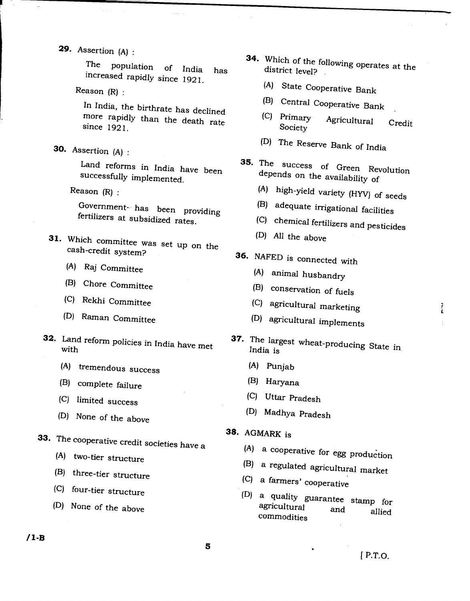29. Assertion (A) :

The population increased rapidly since 1921. of India has

Reason (R) :

In India, the birthrate has declined more rapidly than the death rate since 1921.

3O. Assertion (A) :

Land reforms in India have been successfully implemented.

Reason (R) :

Government- has been providing<br>fertilizers at subsidized rates.

- **31.** Which committee was set up on the cash-credit system?
	- (A) Raj Committee
	- (B) Chore Committee
	- (C) Rekhi Committee
	- (D) Raman Committee
- 32. Land reform policies in India have met<br>with
	- (A) tremendous success
	- (B) complete failure
	- (C) Iimited success
	- (D) None of the above
- 33. The cooperative credit societies have a
	- (A) two\_tier structure
	- (B) three-tier structure
	- (C) four-tier structure
	- (D) None of the above
- **34.** Which of the following operates at the district level? district level?
	- (A) State Cooperative Bank
	- (B) Central Cooperative Bank
	- (C) Primary Agricultural Credit Society
	- (D) The Reserve Bank of India
- 35. The success of Green Revolution<br>depends on the availability of<br>(A) high-yield variety (HYV) of seeds
	-
	- (B) adequate irrigational facilities
	- (C) chemical fertilizers and pesticides
	- (D) All the above
- 36. NAFED is connected with
	- (A) animal husbandry
	- (B) conservation of fuels
	- (C) agricultural marketing
	- (D) agricultural implements
- 37. The largest wheat-producing State in India is
	- (A) punjab
	- (B) Haryana
	- (C) Uttar pradesh
	- (D) Madhya pradesh
- 38. AGMARK is
	- (A) a cooperative for egg production
	- (B) a regulated agricultural market
	- (C) a farmers' cooperative
	- (D) a quality guarantee agricultural and allied commodities stamp for

ł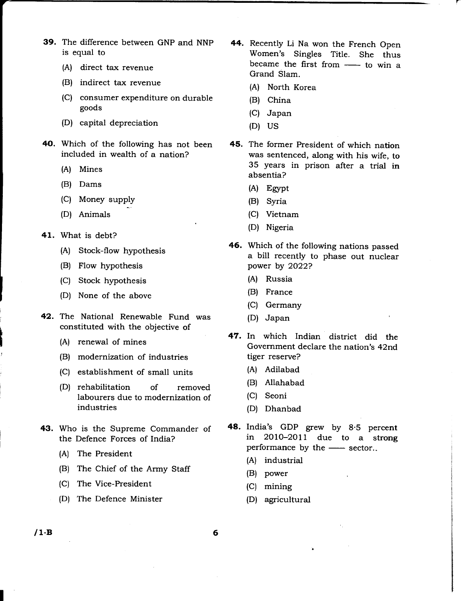- 39. The difference between GNP and NNP is equal to
	- (A) direct tax revenue
	- (B) indirect tax revenue
	- (C) consumer expenditure on durable goods
	- (D) capital depreciation
- 40. Which of the following has not been included in wealth of a nation?
	- (A) Mines
	- (B) Dams
	- (C) Money supply
	- (D) Animals
- 41. What is debt?
	- (A) Stock-flow hypothesis
	- (B) Flow hypothesis
	- (C) Stock hypothesis
	- (D) None of the above
- 42. The National Renewable Fund was constituted with the objective of
	- (A) renewal of mines
	- (B) modernization of industries
	- (C) establishment of small units
	- (D) rehabilitation of removed labourers due to modernization of industries
- 43. Who is the Supreme Commander of the Defence Forces of India?
	- (A) The President
	- (B) The Chief of the Army Staff
	- (C) The Vice-President
	- (D) The Defence Minister
- 44. Recently Li Na won the French Open Women's Singles Title. She thus became the first from  $\frac{1}{x}$  to win a Grand Slam.
	- (A) North Korea
	- (B) China
	- (C) Japan
	- $(D)$  US
- 45. The former President of which nation was sentenced, along with his wife, to 35 years in prison after a trial in absentia?
	- (A) Egypt
	- (B) Syria
	- (C) Vietnam
	- (D) Nigeria
- 46. Which of the following nations passed a bill recently to phase out nuclear power by 2022?
	- (A) Russia
	- (B) France
	- (C) Germany
	- (D) Japan
- 47. ln which Indian district did the Government declare the nation's 42nd tiger reserve?
	- (A) Adilabad
	- (B) Allahabad
	- (C) Seoni
	- (D) Dhanbad
- 48. India's GDP grew by 8.5 percent in 2OLO-2OL1 due to a strong performance by the -- sector.
	- (A) industrial
	- (B) power
	- (C) mining
	- (D) agricultural
- $\sqrt{1-B}$  6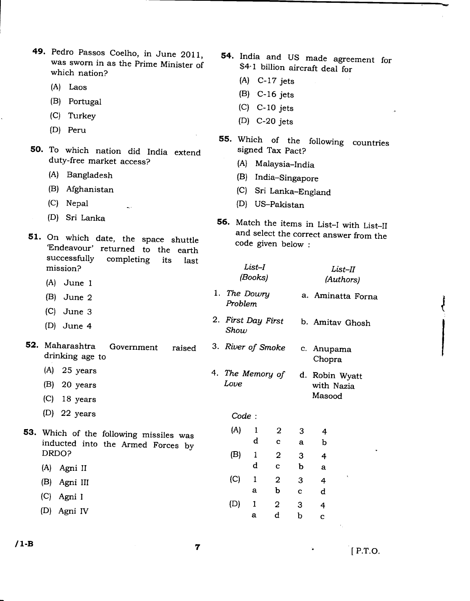- 49. Pedro Passos Coelho, in June 2011, was sworn in as the Prime Minister of which nation?
	- (A) Laos
	- (B) Portugal
	- (C) Turkey
	- (D) Peru
- SO. To which nation did India extend duty-free market access?
	- (A) Bangladesh
	- (B) Afghanistan
	- (C) Nepal
	- (D) Sri Lanka
- 51. On which date, the space shuttle 'Endeavour, returned. to the earth successfully completing its last mission?
	- (A) June 1
	- (B) June 2
	- (C) June 3
	- (D) June 4
- 52. Maharashtra Government raised drinking age to
	- (A) 25 years
	- (B) 2O years
	- (C) 18 years
	- (D) 22 years
- 53. Which of the following missiles was inducted into the Armed Forces by DRDO?
	- (A) Agni II
	- (B) Agni III
	- (c) Agni I
	- (D) Agni IV
- 54. India and US made agreement for \$4.1 billion aircraft deal for
	- (A) C-17 jets
	- (B) C-16 jets
	- (C) C-10 jets
	- (D) C-20 jets
- 55. Which of the following countries signed Tax Pact?
	- (A) Malaysia-India
	- (B) India-Singapore
	- (C) Sri Lanka-England
	- (D) US-pakistan
- 56. Match the items in List-I with List-II and select the correct answer from the code given below :

|  | List–I<br>(Books)                 |   |                  |   | List-II<br>(Authors)                   |  |  |  |
|--|-----------------------------------|---|------------------|---|----------------------------------------|--|--|--|
|  | 1. The Dowry<br>Problem           |   |                  |   | a. Aminatta Forna                      |  |  |  |
|  | 2. First Day First<br>Show        |   |                  |   | b. Amitav Ghosh                        |  |  |  |
|  | 3. River of Smoke                 |   |                  |   | c. Anupama<br>Chopra                   |  |  |  |
|  | 4. The Memory of<br>Love<br>Code: |   |                  |   | d. Robin Wyatt<br>with Nazia<br>Masood |  |  |  |
|  |                                   |   |                  |   |                                        |  |  |  |
|  | (A)                               | 1 | 2                | 3 | 4                                      |  |  |  |
|  |                                   | đ | $\mathbf{C}$     | a | b                                      |  |  |  |
|  | (B)                               | 1 | 2                | 3 | 4                                      |  |  |  |
|  |                                   | d | c                | b | a                                      |  |  |  |
|  | (C)                               | 1 | $\boldsymbol{2}$ | з | X<br>$\overline{4}$                    |  |  |  |
|  |                                   | a | ь                | c | d                                      |  |  |  |
|  | (D)                               | 1 | 2                | 3 | 4                                      |  |  |  |
|  |                                   | a | d                | b | C                                      |  |  |  |
|  |                                   |   |                  |   |                                        |  |  |  |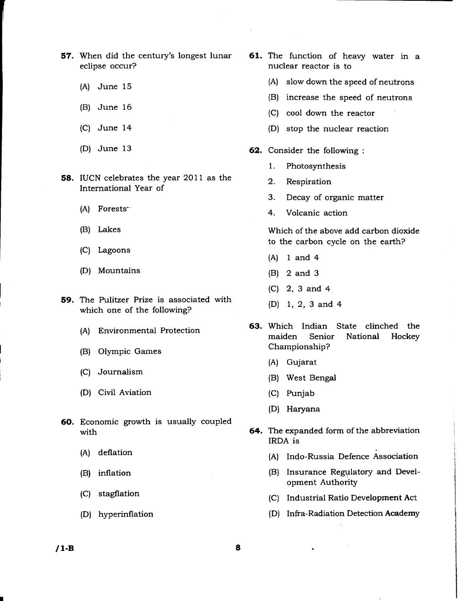57. When did the century's longest lunar 61. The function of heavy water in a eclipse occur? nuclear reactor is to

- 
- 
- 
- 
- 58. IUCN celebrates the year 2011 as the 2. Respiration International Year of
	-
	-
	- (C) Lagoons (A) 1 and 4
	- (D) Mountains (B) 2 and 3
- 59. The Pulitzer Prize is associated with (D) 1, 2, 3 and 4 which one of the following?
	-
	-
	- tC) Journalism (B) West Bengal
	- (D) Civil Aviation (C) Punjab
- 6O. Economic growth is usually coupled
	-
	-
	-
	-
- 
- (A) slow down the speed of neutrons (A) slow down the speed of neutrons
	- (B) increase the speed of neutrons
- (B) June 16 (C) cool down the reactor
- (C) June 14 (D) stop the nuclear reaction
- (D) June 13 62. Consider the following :
	- 1. Photosynthesis
	-
	- 3. Decay of organic matter
- (A) Forests- 4. Volcanic action

(B) Lakes Which of the above add carbon dioxide to the carbon cycle on the earth?

- 
- 
- (C) 2, 3 and 4
- 
- (A) Environmental Protection 63. Which Indian State clinched the maiden Senior National Hockey maiden (B) Olympic Games championship?
	- (A) Gujarat
	-
	-
	- (D) Haryana
- with **64.** The expanded form of the abbreviation IRDA is
- (A) deflation (A) Indo-Russia Defence Association
- (B) inflation (B) Insurance Regulatory and Development Authority
- (C) stagflation (c) Industrial Ratio Development Act
- (D) hyperinflation (D) Infra-Radiation Detection Academy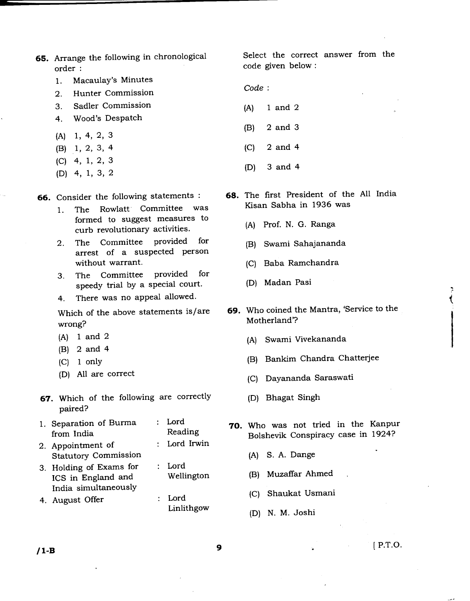- 65. Arrange the following in chronological order :
	- 1. MacaulaY's Minutes
	- 2. Hunter Commission
	- 3. Sadler Commission
	- 4. Wood's Despatch
	- (A) l, 4, 2, 3
	- $(B)$  1, 2, 3, 4
	- $(C)$  4, 1, 2, 3
	- $(D)$  4, 1, 3, 2
- 66. Consider the following statements :
	- 1. The Rowlatt Committee was formed to suggest measures to curb revolutionary activities.
	- 2. The Committee provided for arrest of a suspected person without warrant.
	- 3. The Committee provided for speedy trial by a special court.
	- 4. There was no appeal allowed.
	- Which of the above statements is/are wrong?
	- (A) 1 and 2
	- (B) 2 and 4
	- (C) 1 onlY
	- (D) All are correct
- 67. Which of the following are correctly paired?
- 1. Separation of Burma from India Lord Reading
- 2. Appointment of Statutory Commission Lord Irwin
- 3. Holding of Exams for ICS in England and India simultaneouslY Lord Wellington Lord
- 4. August Offer

Select the correct answer from the code given below :

Code :

- $(A)$  1 and 2
- (B) 2 and 3
- (C) 2 and 4
- (D) 3 and 4
- 68. The first President of the All India Kisan Sabha in 1936 was
	- (A) Prof. N. G. Ranga
	- (B) Swami Sahajananda
	- (C) Baba Ramchandra
	- (D) Madan Pasi
- 69. Who coined the Mantra, 'Service to the Motherland'?
	- (A) Swami Vivekananda
	- (B) Bankim Chandra Chatterjee
	- (C) DaYananda Saraswati
	- (D) Bhagat Singh
- 70. Who was not tried in the Kanpur Bolshevik Conspiracy case in 1924?
	- (A) S. A. Dange
	- (B) Muzaffar Ahmed
	- (C) Shaukat Usmani
	- (D) N. M. Joshi

Linlithgow

 $\overline{P}$  (P.T.O.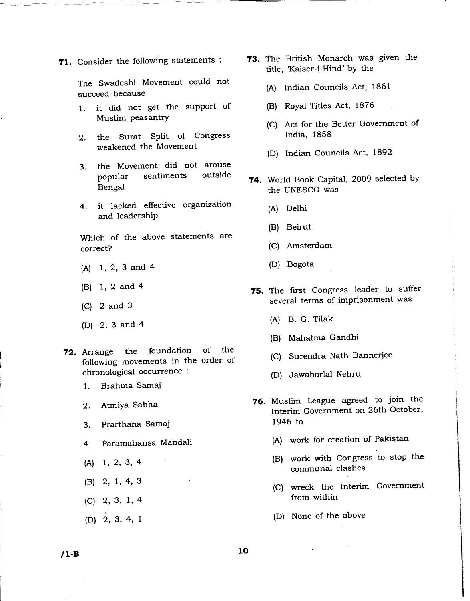The Swadeshi Movement could not Ille Swautsin movement count not<br>succeed because (A) Indian Councils Act, 1861

- 1. it did not get the support of (B) Royal Titles Act, 1876<br>Muslim peasantry
- 2. the Surat Split of Congress and India, 1858<br>weakened the Movement
- 3. the Movement did not arouse<br>nopular sentiments outside
- 4. it lacked effective organization (A) Delhi and leadership

Which of the above statements are correct? (C) Amsterdam

- $(A)$  1, 2, 3 and 4 (D) Bogota
- 
- $(C)$  2 and 3
- 
- **72.** Arrange the foundation of the (C) Surendra Nath-Bannerjee following movements in the order of (C) Surendra Nath-Bannerjee chronological occurrence : (D) Jawaharlal Nehru
	- 1. Brahma Samaj
	-
	- 3. Prarthana Samaj 1946 to
	-
	-
	-
	- $(C)$  2, 3, 1, 4
	-
- 71. Consider the following statements : 73. The British Monarch was given the title, 'Kaiser-i-Hind' by the
	-
	-
	- (C) Act for the Better Government of
	- (D) Indian Councils Act, 1892
	- popular sentiments outside **74.** World Book Capital, 2009 selected by Bengal the UNESCO was
		-
		- (B) Beirut
		-
		-
	- (B) 1, 2 and 4 75. The first Congress leader to suffer<br>several terms of imprisonment was
	- (D) 2, 3 and 4 (A) B. G. Tilak
		- (B) Mahatma Gandhi
		-
		-
	- 2. Atmiya sabha 76. Muslim League agreed to join the Interim Government on 26th October,
	- 4. Paramahansa Mandali (A) work for creation of Pakistan
	- (A)  $1, 2, 3, 4$  (B) work with Congress to stop the communal clashes
	- (B) 2, 1, 4, 3 (C) wreck the Interim Government<br>  $\begin{array}{ccc} \text{(c)} & 2 & 3 & 1 & 4 \end{array}$
	- (D)  $\overline{2}$ , 3, 4, 1 (D) None of the above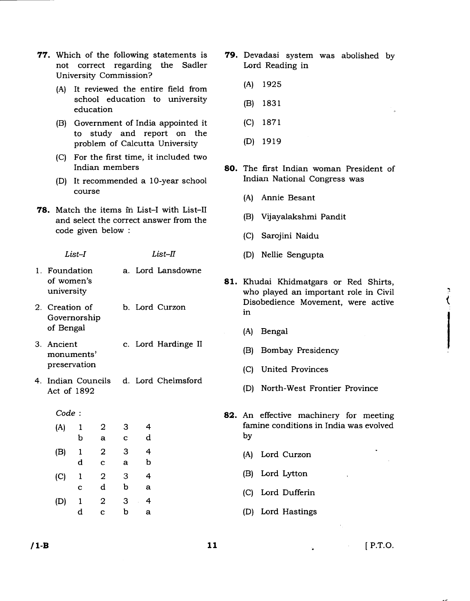- 77. Which of the following statements is not correct regarding the Sadler University Commission?
	- (A) It reviewed the entire field from school education to university education
	- (B) Government of India appointed it to study and report on the problem of Calcutta University
	- (C) For the first time, it included two Indian members
	- (D) It recommended a lO-year school course
- 78. Match the items in List-I with List-II and select the correct answer from the code given below :

 $List-I$ List-II

- 1. Foundation of women's university a. Lord Lansdowne
- 2. Creation of Governorship of Bengal b. Lord Curzon
- 3. Ancient monuments' preservation c. Lord Hardinge II
- 4. Indian Councils Act of 1892 d. Lord Chelmsford
	- Code :

| (A) | 1 | 2 | 3 | 4 |
|-----|---|---|---|---|
|     | b | a | C | d |
| (B) | 1 | 2 | з | 4 |
|     | d | C | a | b |
| (C) | 1 | 2 | 3 | 4 |
|     | C | d | b | a |
| (D) | 1 | 2 | 3 | 4 |
|     | d | C | b | a |

- 79. Devadasi system was abolished by Lord Reading in
	- $(A)$  1925
	- (B) i831
	- $(C)$  1871
	- $(D)$  1919
- 8O. The first Indian woman President of Indian National Congress was
	- (A) Annie Besant
	- (B) Vijayalakshmi Pandit
	- (C) Sarojini Naidu
	- (D) Nellie Sengupta
- 81. Khudai Khidmatgars or Red Shirts, who played an important role in Civil Disobedience Movement, were active in
	- (A) Bengal
	- (B) Bombay Presidency
	- (C) United Provinces
	- (D) North-West Frontier Province
- 82. An effective machinery for meeting famine conditions in India was evolved by
	- (A) Lord Curzon
	- (B) Lord Lytton
	- (C) lord Dufferin
	- (D) Lord Hastings

(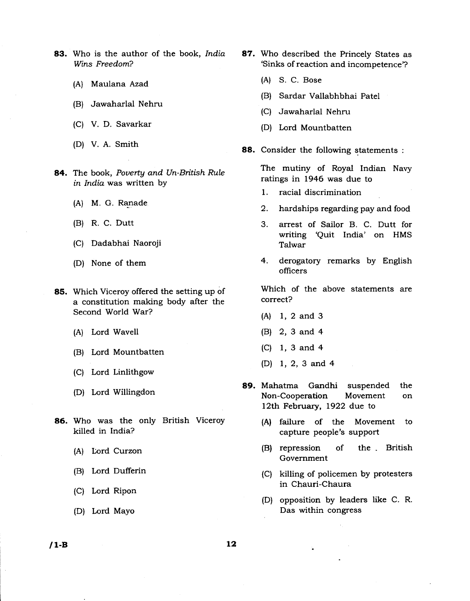- 83. Who is the author of the book, India Wins Freedom?
	- (A) Maulana Azad
	- (B) Jawaharlal Nehru
	- (C) V. D. Savarkar
	- (D) V. A. Smith
- 84. The book, Poverty and Un-British Rule in India was written by
	- (A) M. G. Ranade
	- (B) R. C. Dutt
	- (C) Dadabhai Naoroji
	- (D) None of them
- 85. Which Viceroy offered the setting up of a constitution making body after the Second World War?
	- (A) Lord Wavell
	- (B) Lord Mountbatten
	- (C) Lord Linlithgow
	- (D) Lord Willingdon
- 86. Who was the only British Viceroy killed in India?
	- (A) Lord Curzon
	- (B) Lord Dufferin
	- (C) Lord Ripon
	- (D) Lord Mayo
- 87. Who described the Princely States as 'Sinks of reaction and incompetence'?
	- (A) S. C. Bose
	- (B) Sardar Vallabhbhai Patel
	- (C) Jawaharlal Nehru
	- (D) Lord Mountbatten
- 88. Consider the following statements :

The mutiny of Royal Indian Navy ratings in 1946 was due to

- 1. racial discrimination
- 2. hardships regarding pay and food
- 3. arrest of Sailor B. C. Dutt for writing 'Quit India' on HMS Talwar
- 4. derogatory remarks by English officers

Which of the above statements are correct?

- (A) 1, 2 and 3
- (B) 2, 3 and 4
- (C) 1, 3 and 4
- (D) 1,2, 3 and 4
- 89. Mahatma Gandhi suspended the Non-Cooperation Movement on 12th February, 1922 due to
	- (A) failure of the Movement to capture people's support
	- (B) repression of the British Government
	- (C) killing of policemen by protesters in Chauri-Chaura
	- (D) opposition by leaders like C. R. Das within congress

 $/1-B$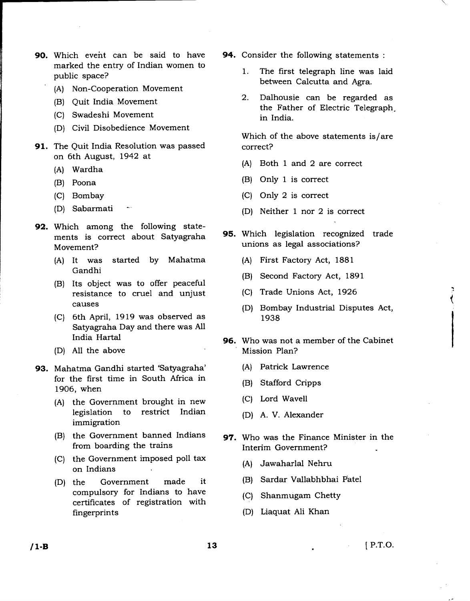- 90. Which event can be said to have marked the entry of Indian women to public space?
	- (A) Non-Cooperation Movement
	- (B) Quit India Movement
	- (C) Swadeshi Movement
	- (D) Civil Disobedience Movement
- 91. The Quit India Resolution was passed on 6th August, 1942 al
	- (A) Wardha
	- (B) Poona
	- (C) Bombay
	- (D) Sabarmati  $\sim$
- 92. Which among the following statements is correct about Satyagraha Movement?
	- (A) It was started by Mahatma Gandhi
	- (B) Its object was to offer peaceful resistance to cruel and unjust causes
	- (C) 6th April, 1919 was observed as Satyagraha Day and there was All India Hartal
	- (D) All the above
- 93. Mahatma Gandhi started 'Satyagraha' for the first time in South Africa in 1906, when
	- (A) the Government brought in new legislation to restrict Indian immigration
	- (B) the Government banned Indians from boarding the trains
	- (C) the Government imposed poll tax on Indians
	- (D) the Government made it compulsory for Indians to have certificates of registration with fingerprints
- 94. Consider the following statements :
	- 1. The first telegraph line was laid between Calcutta and Agra.
	- 2. Dalhousie can be regarded as the Father of Electric Telegraph, in India.

Which of the above statements is/are correct?

- (A) Both 1 and 2 are correct
- (B) Only I is correct
- (C) Only 2 is correct
- (D) Neither 1 nor 2 is correct
- 95. Which legislation recognized trade unions as legal associations?
	- (A) First Factory Act, 1881
	- (B) Second Factory Act, 1891
	- (C) Trade Unions Act, L926
	- (D) Bombay Industrial Disputes Act, 1938
- 96. Who was not a member of the Cabinet Mission Plan?
	- (A) Patrick Lawrence
	- (B) Stafford Cripps
	- (C) Lord Wavell
	- (D) A. V. Alexander
- 97. Who was the Finance Minister in the Interim Government?
	- (A) Jawaharlal Nehru
	- (B) Sardar Vallabhbhai Patel
	- (C) Shanmugam Chetty
	- (D) Liaquat Ali Khan

 $13$  [P.T.O.

t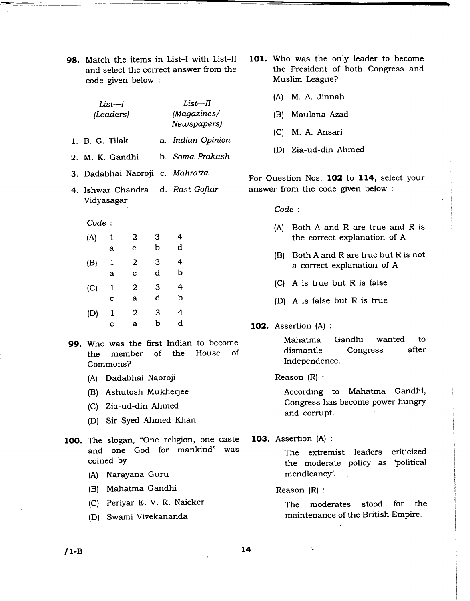98. Match the items in List-I with List-II and select the correct answer from the code given below :

|       | List—I<br>(Leaders) |   |                |   | List—II<br>(Magazines/<br>Newspapers)  |  |
|-------|---------------------|---|----------------|---|----------------------------------------|--|
|       | 1.B.G.Tilak         |   |                |   | a. Indian Opinion                      |  |
|       | 2. M. K. Gandhi     |   |                |   | b. Soma Prakash                        |  |
|       |                     |   |                |   | 3. Dadabhai Naoroji c. <i>Mahratta</i> |  |
| 4.    | Vidyasagar          |   |                |   | Ishwar Chandra d. Rast Goftar          |  |
| Code: |                     |   |                |   |                                        |  |
|       | (A)                 | 1 | 2              | 3 | 4                                      |  |
|       |                     | a | c              | b | d                                      |  |
|       | (B)                 | 1 | 2              | 3 | 4                                      |  |
|       |                     | a | c              | d | b                                      |  |
|       | (C)                 | 1 | $\overline{2}$ | 3 | $\overline{4}$                         |  |
|       |                     | C | a              | d | b                                      |  |
|       | (D)                 | 1 | 2              | 3 | 4                                      |  |
|       |                     | Ċ | a              | b | d                                      |  |
|       |                     |   |                |   |                                        |  |

- 99. Who was the first Indian to become the member of the House of Commons?
	- (A) Dadabhai Naoroji
	- (B) Ashutosh Mukherjee
	- (C) Zia-ud-din Ahmed
	- (D) Sir Syed Ahmed Khan
- 1OO. The slogan, "One religion, one caste and one God for mankind" was coined by
	- (A) Narayana Guru
	- (B) Mahatma Gandhi
	- (C) Periyar E. V. R. Naicker
	- (D) Swami Vivekananda
- 1O1. Who was the only leader to become the President of both Congress and Muslim League?
	- (A) M. A. Jinnah
	- (B) Maulana Azad
	- (C) M. A. Ansari
	- (D) Zia-ud-din Ahmed

For Question Nos. 102 to 114, select your answer from the code given below :

Code :

- (A) Both A and R are true and R is the correct explanation of A
- (B) Both A and R are true but R is not a correct explanation of A
- (C) A is true but R is false
- (D) A is false but R is true

1O2. Assertion (A) :

Mahatma Gandhi wanted to dismantle Congress after Independence.

Reason (R) :

According to Mahatma Gandhi, Congress has become power hungry and cormpt.

1O3. Assertion (A) :

The extremist leadets criticized the moderate policy as 'political mendicancy'.

Reason (R) :

The moderates stood for the maintenance of the British Empire.

 $\sqrt{1-B}$  14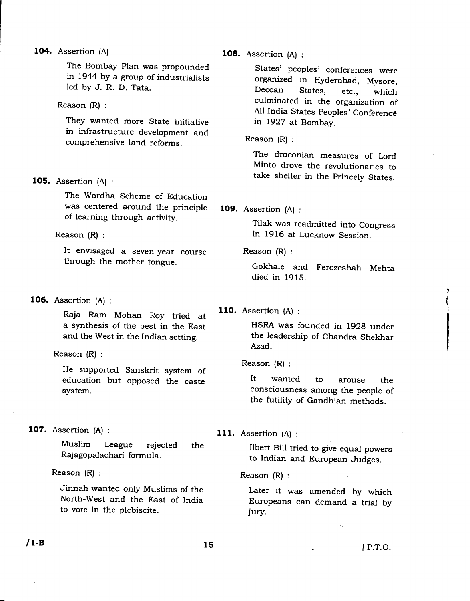#### 1O4. Assertion (A) :

The Bombay plan was propounded in 1944 by a group of industrialists led by J. R. D. Tata.

#### Reason (R) :

They wanted more State initiative in infrastructure development and comprehensive land reforms.

#### 1O5. Assertion (A) :

The Wardha Scheme of Education was centered around the principle of learning through activity.

#### Reason (R) :

It envisaged a seven-year course through the mother tongue.

#### 1O6. Assertion (A) :

Raja Ram Mohan Roy tried at a synthesis of the best in the East and the West in the Indian setting.

#### Reason (R) :

He supported Sanskrit system of education but opposed the caste system.

#### 1O7. Assertion (A) :

Muslim League rejected the Rajagopalachari formula.

#### Reason (R) :

Jinnah wanted only Muslims of the North-West and the East of India to vote in the plebiscite.

#### 1O8. Assertion (A) :

States' peoples' conferences were organized in Hyderabad, Mysore, Deccan States, etc., which Deccan States, etc., which<br>culminated in the organization of All India States Peoples' Conference in 1927 at Bombay.

#### Reason (R) :

The draconian measures of Lord Minto drove the revolutionaries to take shelter in the princely States.

## 1O9. Assertion (A) :

Tilak was readmitted into Congress in 1916 at Lucknow Session.

### Reason (R) :

Gokhale and Ferozeshah Mehta died in 1915.

#### 11O. Assertion (A) :

HSRA was founded in l92g under the leadership of Chandra Shekhar Azad.

Reason (R) :

It wanted to arouse the consciousness among the people of the futility of Gandhian methods.

### 111. Assertion (A) :

Ilbert Bill tried to give equal powers to Indian and European Judges.

Reason (R) :

Later it was amended by which Europeans can demand a trial by jury.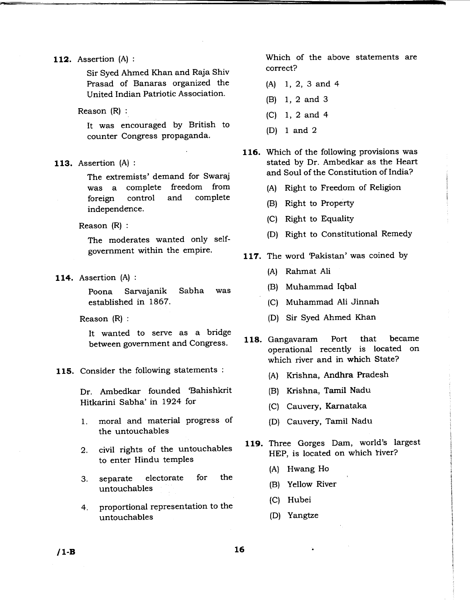Sir Syed Ahmed Khan and Raja Shiv Prasad of Banaras organized the (A) I, 2, 3 and 4 United Indian Patriotic Association.  $(B)$  1, 2 and 3

It was encouraged bY British to  $\frac{1}{2}$  was choosing to  $\frac{1}{2}$  counter Congress propaganda. (D) 1 and 2

The extremists' demand for Swaraj was a complete freedom from (A) Right to Freedom of Religion foreign control and comolete independence. The complete and complete (B) Right to Property

The moderates wanted only self-<br>government within the empire.

114. Assertion (A) : (A) Rahmat Ali

Poona sarvajanik Sabha was (B) Muhammad Iqbal established in 1867. (C) Muhammad Ali Jinnah

It wanted to serve as a bridge

**115.** Consider the following statements :  $(A)$  Krishna, Andhra Pradesh

Dr. Ambedkar founded 'Bahishkrit (B) Krishna, Tamil Nadu Hitkarini Sabha' in 1924 for<br>
(C) Cauvery, Karnataka

- 1. moral and material progress of (D) Cauvery, Tamil Nadu the untouchables
- 
- 3. separate electorate for the untouchables (B) Yellow River
- 4. proportional representation to the (C) Hubei<br>
untouchables (D) Yangtze untouchables

**112.** Assertion  $(A)$  :  $(B)$  is  $(A)$  is  $B \cup B$  in  $B \cup B$  in  $C$  is  $A \cup B$  in  $C$  in  $A \cup B$  in  $C$  is  $A \cup B$  in  $C$  is  $A \cup B$  in  $C$  is  $A \cup B$  in  $C$  is  $A \cup B$  in  $C$  is  $A \cup B$  in  $C$  is  $A \cup B$  in  $C$  is  $A \cup B$  in  $C$  is

- 
- 
- Reason  $(R)$ :  $(C)$  1, 2 and 4
	-
- 116. Which of the following provisions was 113. Assertion (A) :<br>
113. Assertion (A) :<br>
113. Assertion (A) :<br>
11. Superior in the Constitution of India?
	-
	-
	- Reason (R) : (C) Right to Equality
		-
		- 117. The word 'Pakistan' was coined by
			-
			-
			-
	- Reason (R) : (D) Sir Syed Ahmed Khan
		- between government and Congress. 118. Gangavaram Port that became operational recently is located on which river and in which State?
			-
			-
			-
			-
	- 2. civil rights of the untouchables 119. Three Gorges Dam, world's largest to enter Hindu temples for the HEP, is located on which river? HEP, is located on which river?
		- (A) Hwang Ho
		-
		-
		-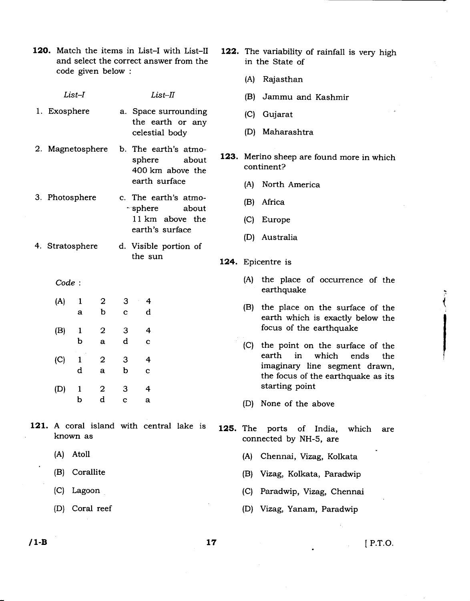- 120. Match the items in List-I with List-II 122. The variability of rainfall is very high and select the correct answer from the in the State of and select the correct answer from the code given below :
- (A) Rajasthan 2. Magnetosphere  $List-H$ a. Space surrounding the earth or any celestial body b. The earth's atmosphere about 400 km above the earth surface 3. Photosphere c. The earth's atmo- - sphere about 11 km above the earth's surface 4. Stratosphere d. Visible portion of the sun Code : 4 c  $(C) 1$ d 3 c 121. A coral island with central lake is known as (A) Atoll (B) Corallite (C) Lagoon (D) Coral reef (B) Jammu and Kashmir (C) Gujarat (D) Maharashtra 123. Merino sheep are found more in which continent? (A) North America (B) Africa (C) Europe (D) Australia 124. Epicentre is (A) the place of occurrence of the earthquake (B) the place on the surface of the earth which is exactly below the focus of the earthquake (C) the point on the surface of the earth in which ends the imaginary line segment drawn, the focus of the earthquake as its starting point (D) None of the above 125. The ports of India, which are connected by NH-S, are (A) Chennai, Yizag, Kolkata (B) Yizag, Kolkata, Paradwip (C) Paradwip, Yizag, Chennai (D) Yizag, Yanam, Paradwip List-I 1. Exosphere I a (A) (B) 4 d 3 c 2 b 3 d 2 a 1 b 3 b (D) <sup>1</sup> b 2 a 2 d 4 c 4 a

17 **let 17 let 18 let 18 let 18 let 18 let 18 let 18 let 18 let 18 let 18 let 18 let 18 let 18 let 18 let 18 let 18 let 18 let 18 let 18 let 18 let 18 let 18 let 18 let 18 le** 

i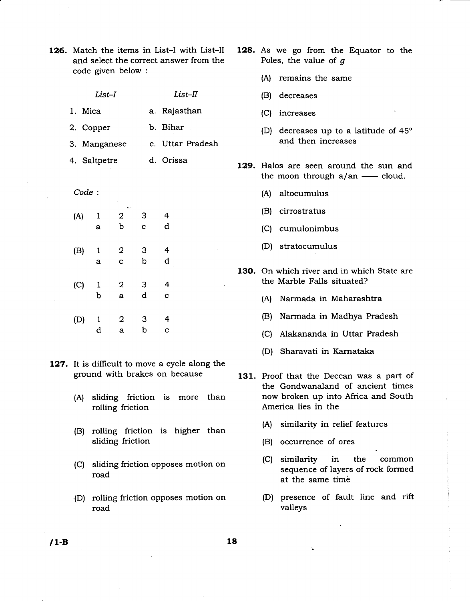126. Match the items in List-I with List-II 128. As we go from the Equator to the and select the correct answer from the Poles, the value of  $g$ code given below :

| List–I       |                   |                                        | List–∏            |                             |  |
|--------------|-------------------|----------------------------------------|-------------------|-----------------------------|--|
| 1. Mica      |                   |                                        |                   | a. Rajasthan                |  |
|              | 2. Copper         |                                        |                   | b. Bihar                    |  |
|              | 3. Manganese      |                                        |                   | c. Uttar Pradesh            |  |
| 4. Saltpetre |                   |                                        |                   | d. Orissa                   |  |
| Code:        |                   |                                        |                   |                             |  |
| (A)          | 1<br>a            | $\boldsymbol{2}$<br>b                  | 3<br>$\mathbf{c}$ | 4<br>d                      |  |
| (B)          | $\mathbf 1$<br>a  | $\overline{\mathbf{c}}$<br>$\mathbf c$ | 3<br>b            | $\overline{4}$<br>${\bf d}$ |  |
| (C)          | $\mathbf{1}$<br>b | 2<br>a                                 | 3<br>d            | 4<br>$\mathbf c$            |  |
| (D)          | $\mathbf{1}$<br>d | 2<br>a                                 | 3<br>b            | 4<br>Ċ                      |  |

- 127. It is difficult to move a cycle along the ground with brakes on because 131. Proof that the Deccan was a part of
	- rolling friction **America** lies in the
	- (B) rolling friction is higher than (A) similarity in relief features sliding friction (B) occurrence of ores
	-
	- road in the contract of the valleys
- - (A) remains the same
	- (B) decreases
	- $|C|$  increases
- (D) decreases up to a latitude of  $45^\circ$ desh and then increases

129. Halos are seen around the sun and the moon through a/an - cloud.

- (A) altocumulus
- (B) cirrostratus
- (C) cumulonimbus
- (D) stratocumulus
- 130. On which river and in which State are the Marble Falls situated?
	- (A) Narmada in Maharashtra
	- (B) Narmada in Madhya Pradesh<br>(C) Alakananda in Uttar Pradesh
	-
	- (D) Sharavati in Karnataka
- the Gondwanaland of ancient times (A) sliding friction is more than now broken up into Africa and South
	-
	-
- (c) sliding friction opposes motion on (c) similarity in the common shall g include of layers of rock formed road at the same time
- (D) rolling friction opposes motion on (D) presence of fault line and rift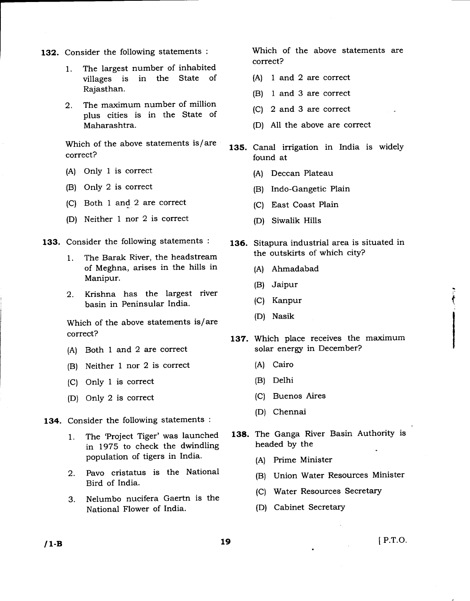- 132. Consider the following statements :
	- 1. The largest number of inhabited villages is in the State of Rajasthan.
	- 2. The maximum number of million plus cities is in the State of Maharashtra.

Which of the above statements is/are correct?

- (A) Only 1 is correct
- (B) Only 2 is correct
- (C) Both 1 and 2 are correct
- (D) Neither 1 nor 2 is correct
- 133. Consider the following statements :
	- 1. The Barak River, the headstream of Meghna, arises in the hills in Manipur.
	- 2. Krishna has the largest river basin in Peninsular India.

Which of the above statements is/are correct?

- (A) Both 1 and 2 are correct
- (B) Neither 1 nor 2 is correct
- (C) Only 1 is correct
- (D) Only 2 is correct
- 134. Consider the following statements :
	- 1. The 'Project Tiger' was launched in 1975 to check the dwindling population of tigers in India.
	- 2. Pavo cristatus is the National Bird of India.
	- 3. Nelumbo nucifera Gaertn is the National Flower of India.

Which of the above statements are correct?

- (A) 1 and 2 are correct
- (B) 1 and 3 are correct
- (C) 2 and 3 are correct
- (D) All the above are correct
- 135. Canal irrigation in India is widely found at
	- (A) Deccan Plateau
	- (B) Indo-Gangetic Plain
	- (C) East Coast Plain
	- (D) Siwalik Hills
- 136. Sitapura industrial area is situated in the outskirts of which city?
	- (A) Ahmadabad
	- (B) Jaipur
	- (C) Kanpur
	- (D) Nasik
- 137. Which place receives the maximum solar energy in December?
	- (A) Cairo
	- (B) Delhi
	- (C) Buenos Aires
	- (D) Chennai
- 138. The Ganga River Basin Authority is headed by the
	- (A) Prime Minister
	- (B) Union Water Resources Minister
	- (C) Water Resources Secretary
	- (D) Cabinet Secretary

 $\blacksquare$  19  $\blacksquare$  [P.T.O.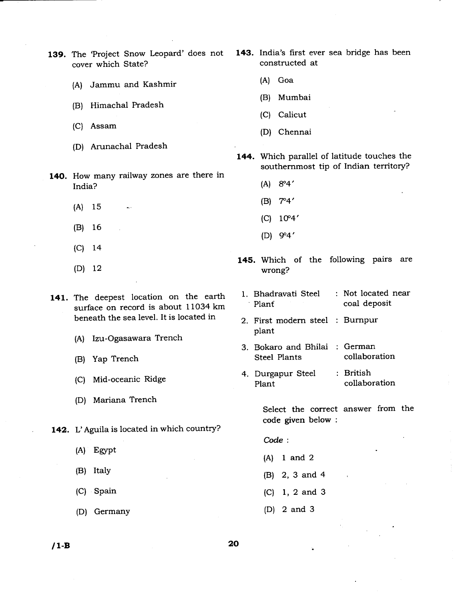139. The 'Project Snow Leopard' does not 143. India's first ever sea bridge has been<br>cover which State?<br>constructed at cover which State? (A) Jammu and Kashmir (A) Goa

- 
- (B) Himachal Pradesh (B) Mumbai
- 
- (D) Arunachal Pradesh
- 14O. How many railway zones are there in  $India?$  (A)  $8^{\circ}4'$ 
	- (A) 15 (B)  $7^{\circ}4'$
	- (B) 16
	- (c) 14
	-
- 141. The deepest location on the earth  $1.$  Bhadravati Steel surface on record is about  $11034$  km beneath the sea level. It is located in
	- (A) Izu-Ogasawara Trench
	- (B) Yap Trench
	- (C) Mid-oceanic Ridge
	- (D) Mariana Trench
- 142. L'Aguila is located in which country?
	- (A) Egrpt
	- (B) Italy
	- (C) Spain
	- (D) Germany
- -
	-
	- (C) Calicut
- lC) Assam (D) Chennai
	- 144. Which parallel of latitude touches the southernmost tip of Indian territory?
		-
		-
		- $(C) 10^94'$
		- $(D)$   $9^{\circ}4'$
- 145. Which of the following pairs are  $(D)$  12 wrong?
	- Not located near coal deposit
	- plant 2. First modern steel : Burnpur
	- 3. Bokaro and Bhilai German Steel Plants collaboration
	- 4. Durgapur Steel Plant British collaboration

Select the correct answer from the code given below :

Code :

- (A) I and 2
- (B)  $2, 3$  and 4
- (C) 1, 2 and 3
- (D) 2 and 3

 $/1-B$  20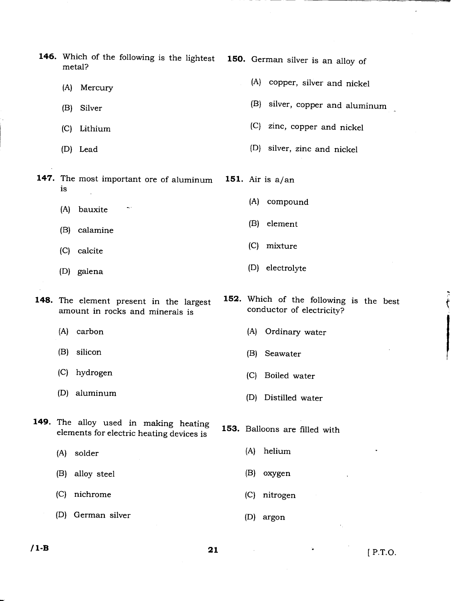$1 - B$  (P.T.O.)

- 149. The alloy used in making heating elements for electric heating devices is **153.** Balloons are filled with (A) solder (A) helium (B) alloy steel (B) oxygen (A) carbon (B) silicon (C) hydrogen (D) aluminum (C) nichrome (A) Ordinary water (B) Seawater (C) Boiled water (D) Distilled water (C) nitrogen
- 148. The element present in the largest 152. Which of the following is the best amount in rocks and minerals is conductor of electricity?
	-
- 

(D) German silver

(C) calcite

- (D) galena
- 
- 
- (A) bauxite (B) calamine
- 147. The most important ore of aluminum 151. Air is  $a/an$ is
- 
- (A) Mercury (A) copper, silver and nickel
- 146. Which of the following is the lightest 150. German silver is an alloy of metal?
	-
	- (B) Silver (B) silver, copper and aluminum
	- (C) Lithium (C) zinc, copper and nickel
	- (D) Lead (D) silver, zinc and nickel
		- - (A) compound
			- (B) element
			- (C) mixture
			- (D) electrolyte
		-

(D) argon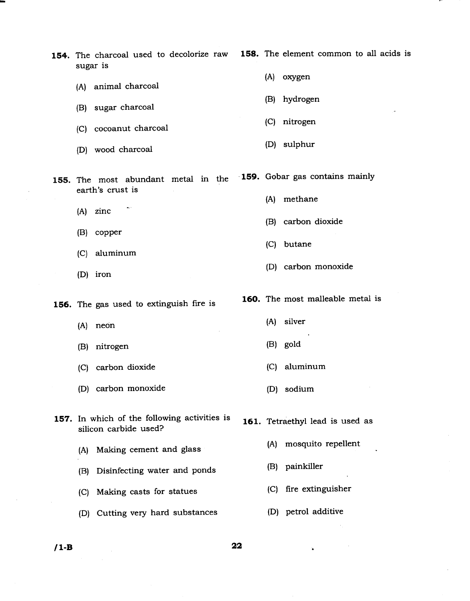1S4. The charcoal used to decolorize raw 158. The element common to all acids is sugar is (A) oxygen (A) animal charcoal (B) hydrogen (B) sugar charcoal (c) cocoanut charcoal (c) nitrogen (D) wood charcoal (D) sulphur 155. The most abundant metal in the 159. Gobar gas contains mainly earth's crust is (A) methane (A) zinc (B) copper (C) aluminum (D) iron 156. The gas used to extinguish fire is 160. The most malleable metal is (A) neon (A) silver (B) nitrogen (B) gold (B) carbon dioxide (C) butane (D) carbon monoxide (C) aluminum (D) sodium (C) carbon dioxide (D) carbon monoxide 157. In which of the following activities is 161. Tetraethyl lead is used as silicon carbide used? (A) Making cement and glass (A) mosquito repellent (B) Disinfecting water and ponds (B) painkiller (C) Making casts for statues (C) fire extinguisher (D) Cutting very hard substances (D) petrol additive

 $/1-B$  22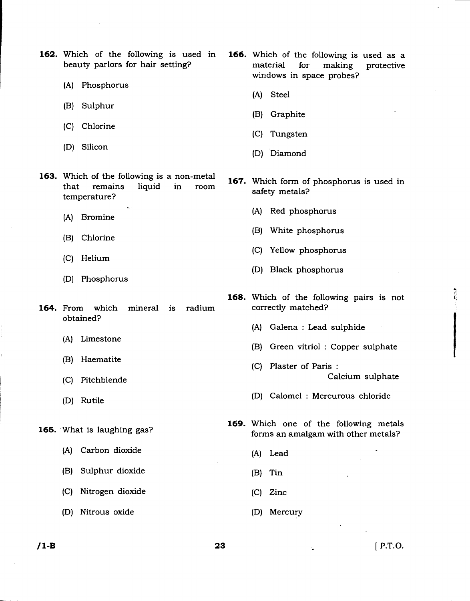162. Which of the following is used in beauty parlors for hair setting?

- (A) Phosphorus
- (B) Sulphur
- (C) Chlorine
- (D) Silicon
- **163.** Which of the following is a non-metal that remains liquid in room temperature?
	- (A) Bromine
	- (B) Chlorine
	- (C) Helium
	- (D) Phosphorus
- 164. From which mineral obtained? is radium
	- (A) Limestone
	- (B) Haematite
	- (C) Pitchblende
	- (D) Rutile

165. What is laughing gas?

- (A) Carbon dioxide
- (B) Sulphur dioxide
- (C) Nitrogen dioxide
- (D) Nitrous oxide
- 166. Which of the following is used as a material for making protective windows in space probes?
	- (A) Steel
	- (B) Graphite
	- (C) Tungsten
	- (D) Diamond
- 167. Which form of phosphorus is used in safety metals?
	- (A) Red phosphorus
	- (B) White phosphorus
	- (C) Yellow phosphorus
	- (D) Black phosphorus
- 168. Which of the following pairs is not correctly matched?
	- (A) Galena : Lead sulphide
	- (B) Green vitriol : Copper sulphate
	- (C) Plaster of Paris :<br>Calcium sulphate
	- (D) Calomel : Mercurous chloride
- 169. Which one of the following metals forms an amalgam with other metals?
	- (A) Lead
	- (B) Tin
	- (C) Zinc
	- (D) Mercury

 $1 - B$  [P.T.O.

त<br>पु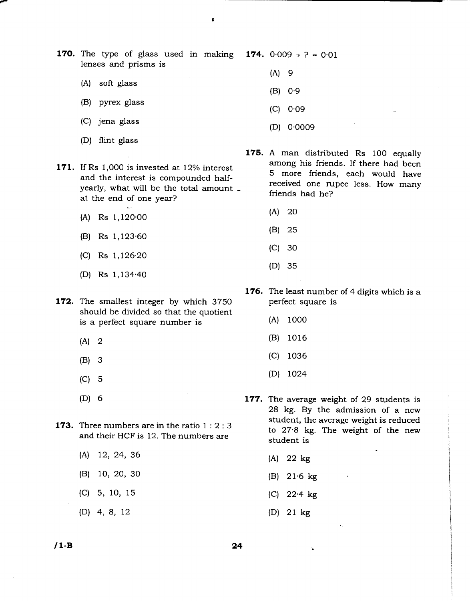**170.** The type of glass used in making  $174.0009 \div ? = 0.01$ lenses and prisms is

Ł

- (A) soft glass (B) pyrex glass (C) jena glass  $(A)$  9  $(B) 0.9$  $(C) 0.09$
- 171. If Rs 1,000 is invested at  $12\%$  interest and the interest is compounded halfyearly, what will be the total amount . at the end of one year?
	- (A) Rs 1,120'00

(D) flint glass

- (B) Rs 1,123.60
- (C) Rs 1,126'20
- (D) Rs 1,134'40
- 172. The smallest integer by which 3750 should be divided so that the quotient is a perfect square number is
	- $(A)$  2
	- (B) 3
	- (c) s
	- (D) 6
- **173.** Three numbers are in the ratio  $1:2:3$ and their HCF is 12. The numbers are
	- (A) 12, 24, 36
	- (B) 10, 20, 30
	- (c) 5, 10, 15
	- (D) 4, g, 12

(D) 3s

175. A man distributed Rs 100 equally

among his friends. If there had been 5 more friends, each would have received one rupee less. How many

 $\sim 10$ 

- 176. The least number of 4 digits which is a perfect square is
	- (A) 1000

(D) 0.0009

friends had he?

(A) 20

(B) 2s

(c) 30

- (B) 1016
- (c) 1036
- $(D)$  1024
- 177. The average weight of 29 students is 28 kg. By the admission of a new student, the average weight is reduced to 27.8 kg. The weight of the new student is
	- (A) 22 kg
	- (B)  $21·6$  kg
	- (c) 22'4 kg
	- (D)  $21 \text{ kg}$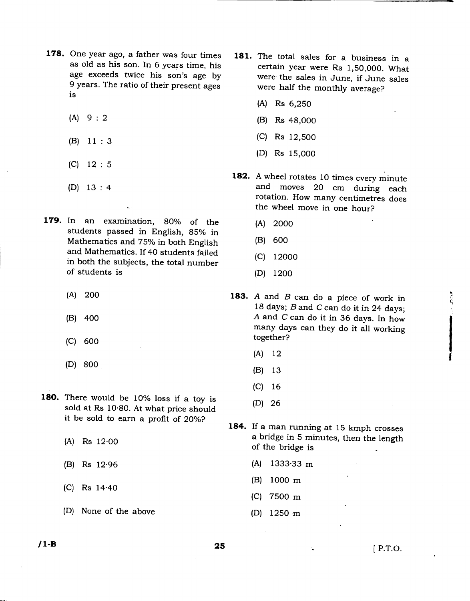- 178. One year ago, a father was four times as old as his son. In 6 years time, his age exceeds twice his son's age by 9 years. The ratio of their present ages is
	- (A) 9:2
	- (B) 11 :3
	- (c) 12:5
	- (D) 13:4
- 179. In an examination, BO% of the students passed in English, 85% in Mathematics and 75% in both English and Mathematics. If 40 students failed in both the subjects, the total number of students is
	- (A) 2oo
	- (B) 400
	- (c) 600
	- (D) 800
- 180. There would be 10% loss if a toy is sold at Rs 10.80. At what price should it be sold to earn a profit of 20%?
	- (A) Rs 12.00
	- (B) Rs 12.96
	- (c) Rs 14.40
	- (D) None of the above
- 181. The total sales for a business in a certain year were Rs 1,50,000. What were the sales in June, if June sales were half the monthly average?
	- (A) Rs 6,250
	- (B) Rs 48,000
	- (C) Rs 12,500
	- (D) Rs 15,000
- 182. A wheel rotates 10 times every minute<br>and moves 20 cm during each rotation. How many centimetres does the wheel move in one hour?
	- (A) 2o0o
	- (B) 600
	- (c) 12000
	- $(D)$  1200
- **183.** A and B can do a piece of work in 18 days; B and C can do it in 24 days;  $A$  and  $C$  can do it in 36 days. In how many days can they do it all working together?
	- $(A)$  12
	- (B) 13
	- (c) 16
	- (D) 26

184. If a man running at 15 kmph crosses a bridge in 5 minutes, then the length of the bridge is

- $(A)$  1333.33 m
- (B) l00o m
- (c) 7500 m
- (D) 1250 m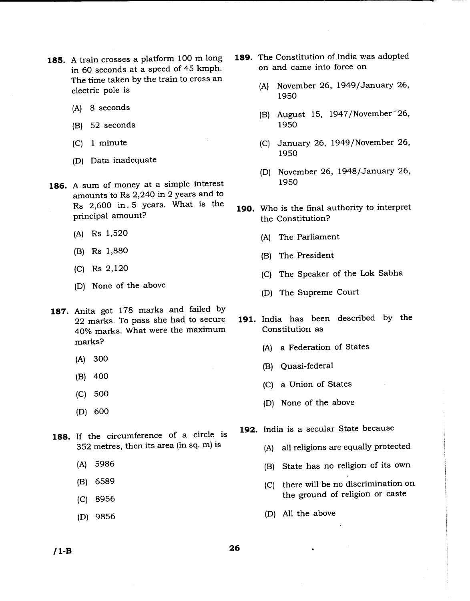- in 60 seconds at a speed of 45 kmph. The time taken by the train to cross an electric pole is
	- (A) 8 seconds
	- (B) 52 seconds
	- (C) 1 minute
	- (D) Data inadequate
- 186. A sum of money at a simple interest amounts to Rs 2,240 in 2 years and to<br>Rs  $2,600$  in 5 years. What is the principal amount?
	- (A) Rs 1,520
	- (B) Rs 1,880
	- (C) Rs 2,120
	- (D) None of the above
- marks? 187. Anita got 178 marks and failed by<br>22 marks. To pass she had to secure 40% marks. What were the maximum
	- (A) 300
	- (B) 400
	- (c) s00
	- (D) 600
- 188. If the circumference of a circle is 192. India is a secular State because 352 metres, then its area (in sq. m) is  $(A)$  all religions are equally protected
	- $(A)$  5986
	- (B) 6s8e
	- $(C)$  8956
	- $(D)$  9856
- 185. A train crosses a platform 100 m long 189. The Constitution of India was adopted<br>in 60 seconds at a speed of 45 kmnh. on and came into force on
	- (A) November 26, 1949/January 26, 1950
	- (B) August 15, 1947/Novernber"26, 1950
	- (C) January 26, 1949/November 26, 1950
	- (D) November 26, 1948/January 26, 1950
	- the Constitution? 190. Who is the final authority to interpret
		- (A) The Parliament
		- (B) The President
		- (C) The Speaker of the Lok Sabha
		- (D) The Supreme Court
	- 191. India has been described by the Constitution as
		- (A) a Federation of States
		- (B) Quasi-federal
		- (C) a Union of States
		- (D) None of the above

- 
- (B) State has no religion of its own
- (C) there will be no discrimination on the ground of religion or caste
- (D) All the above